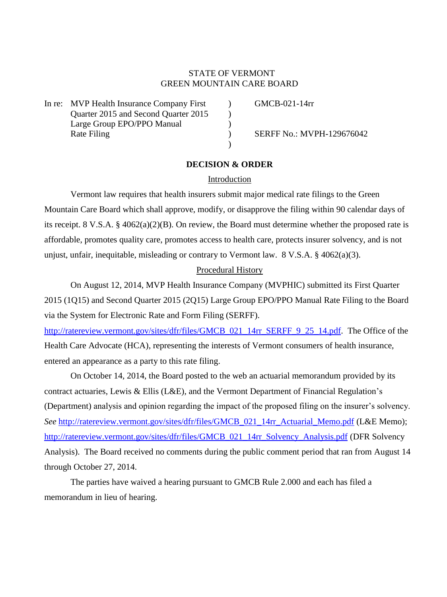# STATE OF VERMONT GREEN MOUNTAIN CARE BOARD

In re: MVP Health Insurance Company First (a) GMCB-021-14rr Quarter 2015 and Second Quarter 2015 ) Large Group EPO/PPO Manual (1996) Rate Filing  $SERFF No.: MVPH-129676042$ 

## **DECISION & ORDER**

 $\lambda$ 

## Introduction

Vermont law requires that health insurers submit major medical rate filings to the Green Mountain Care Board which shall approve, modify, or disapprove the filing within 90 calendar days of its receipt. 8 V.S.A. § 4062(a)(2)(B). On review, the Board must determine whether the proposed rate is affordable, promotes quality care, promotes access to health care, protects insurer solvency, and is not unjust, unfair, inequitable, misleading or contrary to Vermont law. 8 V.S.A. § 4062(a)(3).

## Procedural History

On August 12, 2014, MVP Health Insurance Company (MVPHIC) submitted its First Quarter 2015 (1Q15) and Second Quarter 2015 (2Q15) Large Group EPO/PPO Manual Rate Filing to the Board via the System for Electronic Rate and Form Filing (SERFF).

[http://ratereview.vermont.gov/sites/dfr/files/GMCB\\_021\\_14rr\\_SERFF\\_9\\_25\\_14.pdf.](http://ratereview.vermont.gov/sites/dfr/files/GMCB_021_14rr_SERFF_9_25_14.pdf) The Office of the Health Care Advocate (HCA), representing the interests of Vermont consumers of health insurance, entered an appearance as a party to this rate filing.

On October 14, 2014, the Board posted to the web an actuarial memorandum provided by its contract actuaries, Lewis & Ellis (L&E), and the Vermont Department of Financial Regulation's (Department) analysis and opinion regarding the impact of the proposed filing on the insurer's solvency. *See* [http://ratereview.vermont.gov/sites/dfr/files/GMCB\\_021\\_14rr\\_Actuarial\\_Memo.pdf](http://ratereview.vermont.gov/sites/dfr/files/GMCB_021_14rr_Actuarial_Memo.pdf) (L&E Memo); [http://ratereview.vermont.gov/sites/dfr/files/GMCB\\_021\\_14rr\\_Solvency\\_Analysis.pdf](http://ratereview.vermont.gov/sites/dfr/files/GMCB_021_14rr_Solvency_Analysis.pdf) (DFR Solvency Analysis). The Board received no comments during the public comment period that ran from August 14 through October 27, 2014.

The parties have waived a hearing pursuant to GMCB Rule 2.000 and each has filed a memorandum in lieu of hearing.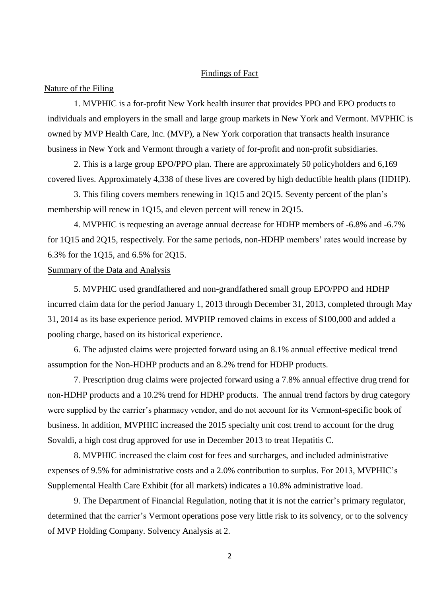## Findings of Fact

#### Nature of the Filing

1. MVPHIC is a for-profit New York health insurer that provides PPO and EPO products to individuals and employers in the small and large group markets in New York and Vermont. MVPHIC is owned by MVP Health Care, Inc. (MVP), a New York corporation that transacts health insurance business in New York and Vermont through a variety of for-profit and non-profit subsidiaries.

2. This is a large group EPO/PPO plan. There are approximately 50 policyholders and 6,169 covered lives. Approximately 4,338 of these lives are covered by high deductible health plans (HDHP).

3. This filing covers members renewing in 1Q15 and 2Q15. Seventy percent of the plan's membership will renew in 1Q15, and eleven percent will renew in 2Q15.

4. MVPHIC is requesting an average annual decrease for HDHP members of -6.8% and -6.7% for 1Q15 and 2Q15, respectively. For the same periods, non-HDHP members' rates would increase by 6.3% for the 1Q15, and 6.5% for 2Q15.

## Summary of the Data and Analysis

5. MVPHIC used grandfathered and non-grandfathered small group EPO/PPO and HDHP incurred claim data for the period January 1, 2013 through December 31, 2013, completed through May 31, 2014 as its base experience period. MVPHP removed claims in excess of \$100,000 and added a pooling charge, based on its historical experience.

6. The adjusted claims were projected forward using an 8.1% annual effective medical trend assumption for the Non-HDHP products and an 8.2% trend for HDHP products.

7. Prescription drug claims were projected forward using a 7.8% annual effective drug trend for non-HDHP products and a 10.2% trend for HDHP products. The annual trend factors by drug category were supplied by the carrier's pharmacy vendor, and do not account for its Vermont-specific book of business. In addition, MVPHIC increased the 2015 specialty unit cost trend to account for the drug Sovaldi, a high cost drug approved for use in December 2013 to treat Hepatitis C.

8. MVPHIC increased the claim cost for fees and surcharges, and included administrative expenses of 9.5% for administrative costs and a 2.0% contribution to surplus. For 2013, MVPHIC's Supplemental Health Care Exhibit (for all markets) indicates a 10.8% administrative load.

9. The Department of Financial Regulation, noting that it is not the carrier's primary regulator, determined that the carrier's Vermont operations pose very little risk to its solvency, or to the solvency of MVP Holding Company. Solvency Analysis at 2.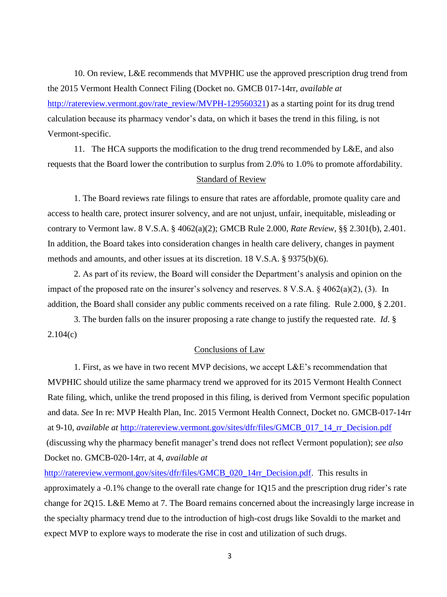10. On review, L&E recommends that MVPHIC use the approved prescription drug trend from the 2015 Vermont Health Connect Filing (Docket no. GMCB 017-14rr, *available at* [http://ratereview.vermont.gov/rate\\_review/MVPH-129560321\)](http://ratereview.vermont.gov/rate_review/MVPH-129560321) as a starting point for its drug trend calculation because its pharmacy vendor's data, on which it bases the trend in this filing, is not Vermont-specific.

11. The HCA supports the modification to the drug trend recommended by L&E, and also requests that the Board lower the contribution to surplus from 2.0% to 1.0% to promote affordability.

## Standard of Review

1. The Board reviews rate filings to ensure that rates are affordable, promote quality care and access to health care, protect insurer solvency, and are not unjust, unfair, inequitable, misleading or contrary to Vermont law. 8 V.S.A. § 4062(a)(2); GMCB Rule 2.000, *Rate Review*, §§ 2.301(b), 2.401. In addition, the Board takes into consideration changes in health care delivery, changes in payment methods and amounts, and other issues at its discretion. 18 V.S.A. § 9375(b)(6).

2. As part of its review, the Board will consider the Department's analysis and opinion on the impact of the proposed rate on the insurer's solvency and reserves. 8 V.S.A. § 4062(a)(2), (3). In addition, the Board shall consider any public comments received on a rate filing. Rule 2.000, § 2.201.

3. The burden falls on the insurer proposing a rate change to justify the requested rate. *Id*. § 2.104(c)

## Conclusions of Law

1. First, as we have in two recent MVP decisions, we accept L&E's recommendation that MVPHIC should utilize the same pharmacy trend we approved for its 2015 Vermont Health Connect Rate filing, which, unlike the trend proposed in this filing, is derived from Vermont specific population and data. *See* In re: MVP Health Plan, Inc. 2015 Vermont Health Connect, Docket no. GMCB-017-14rr at 9-10, *available at* [http://ratereview.vermont.gov/sites/dfr/files/GMCB\\_017\\_14\\_rr\\_Decision.pdf](http://ratereview.vermont.gov/sites/dfr/files/GMCB_017_14_rr_Decision.pdf) (discussing why the pharmacy benefit manager's trend does not reflect Vermont population); *see also* Docket no. GMCB-020-14rr, at 4, *available at* 

[http://ratereview.vermont.gov/sites/dfr/files/GMCB\\_020\\_14rr\\_Decision.pdf.](http://ratereview.vermont.gov/sites/dfr/files/GMCB_020_14rr_Decision.pdf) This results in approximately a -0.1% change to the overall rate change for 1Q15 and the prescription drug rider's rate change for 2Q15. L&E Memo at 7. The Board remains concerned about the increasingly large increase in the specialty pharmacy trend due to the introduction of high-cost drugs like Sovaldi to the market and expect MVP to explore ways to moderate the rise in cost and utilization of such drugs.